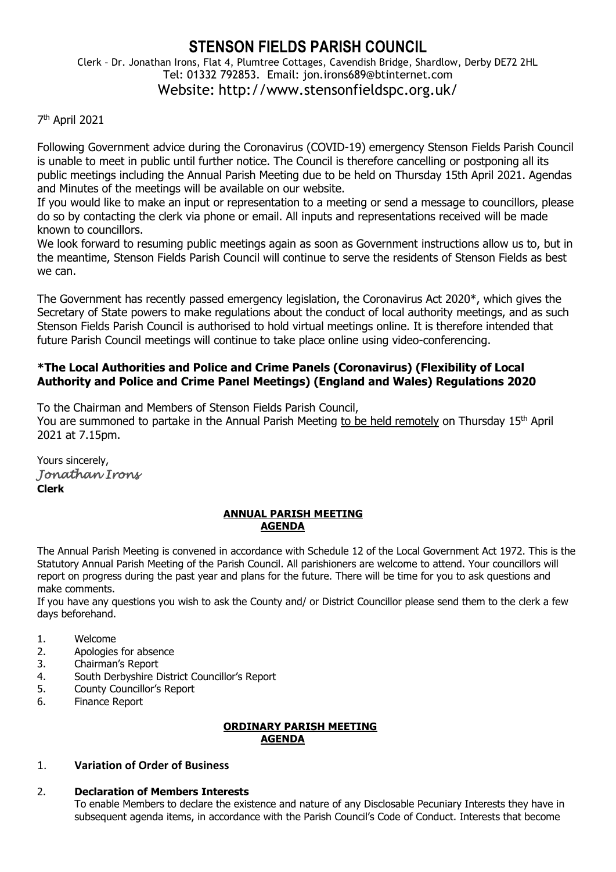# **STENSON FIELDS PARISH COUNCIL**

Clerk – Dr. Jonathan Irons, Flat 4, Plumtree Cottages, Cavendish Bridge, Shardlow, Derby DE72 2HL Tel: 01332 792853. Email: jon.irons689@btinternet.com Website: http://www.stensonfieldspc.org.uk/

# 7 th April 2021

Following Government advice during the Coronavirus (COVID-19) emergency Stenson Fields Parish Council is unable to meet in public until further notice. The Council is therefore cancelling or postponing all its public meetings including the Annual Parish Meeting due to be held on Thursday 15th April 2021. Agendas and Minutes of the meetings will be available on our website.

If you would like to make an input or representation to a meeting or send a message to councillors, please do so by contacting the clerk via phone or email. All inputs and representations received will be made known to councillors.

We look forward to resuming public meetings again as soon as Government instructions allow us to, but in the meantime, Stenson Fields Parish Council will continue to serve the residents of Stenson Fields as best we can.

The Government has recently passed emergency legislation, the Coronavirus Act 2020\*, which gives the Secretary of State powers to make regulations about the conduct of local authority meetings, and as such Stenson Fields Parish Council is authorised to hold virtual meetings online. It is therefore intended that future Parish Council meetings will continue to take place online using video-conferencing.

# **\*The Local Authorities and Police and Crime Panels (Coronavirus) (Flexibility of Local Authority and Police and Crime Panel Meetings) (England and Wales) Regulations 2020**

To the Chairman and Members of Stenson Fields Parish Council,

You are summoned to partake in the Annual Parish Meeting to be held remotely on Thursday 15<sup>th</sup> April 2021 at 7.15pm.

Yours sincerely, *Jonathan Irons*  **Clerk**

# **ANNUAL PARISH MEETING AGENDA**

The Annual Parish Meeting is convened in accordance with Schedule 12 of the Local Government Act 1972. This is the Statutory Annual Parish Meeting of the Parish Council. All parishioners are welcome to attend. Your councillors will report on progress during the past year and plans for the future. There will be time for you to ask questions and make comments.

If you have any questions you wish to ask the County and/ or District Councillor please send them to the clerk a few days beforehand.

- 1. Welcome
- 2. Apologies for absence
- 3. Chairman's Report
- 4. South Derbyshire District Councillor's Report
- 5. County Councillor's Report
- 6. Finance Report

#### **ORDINARY PARISH MEETING AGENDA**

# 1. **Variation of Order of Business**

# 2. **Declaration of Members Interests**

To enable Members to declare the existence and nature of any Disclosable Pecuniary Interests they have in subsequent agenda items, in accordance with the Parish Council's Code of Conduct. Interests that become